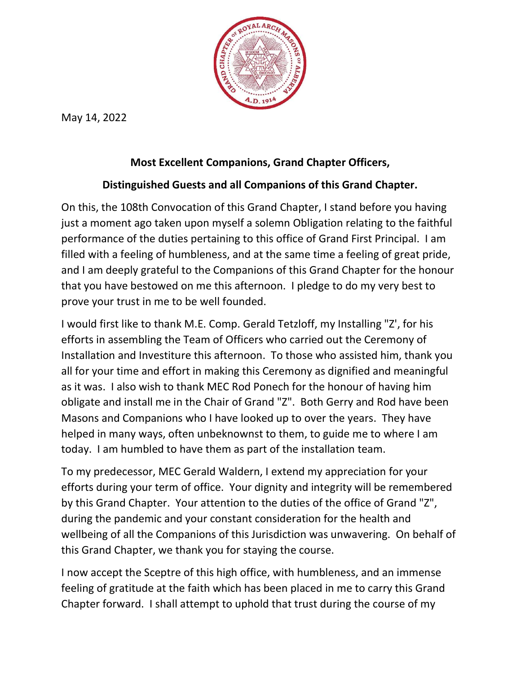

May 14, 2022

## Most Excellent Companions, Grand Chapter Officers,

## Distinguished Guests and all Companions of this Grand Chapter.

On this, the 108th Convocation of this Grand Chapter, I stand before you having just a moment ago taken upon myself a solemn Obligation relating to the faithful performance of the duties pertaining to this office of Grand First Principal. I am filled with a feeling of humbleness, and at the same time a feeling of great pride, and I am deeply grateful to the Companions of this Grand Chapter for the honour that you have bestowed on me this afternoon. I pledge to do my very best to prove your trust in me to be well founded.

I would first like to thank M.E. Comp. Gerald Tetzloff, my Installing "Z', for his efforts in assembling the Team of Officers who carried out the Ceremony of Installation and Investiture this afternoon. To those who assisted him, thank you all for your time and effort in making this Ceremony as dignified and meaningful as it was. I also wish to thank MEC Rod Ponech for the honour of having him obligate and install me in the Chair of Grand "Z". Both Gerry and Rod have been Masons and Companions who I have looked up to over the years. They have helped in many ways, often unbeknownst to them, to guide me to where I am today. I am humbled to have them as part of the installation team.

To my predecessor, MEC Gerald Waldern, I extend my appreciation for your efforts during your term of office. Your dignity and integrity will be remembered by this Grand Chapter. Your attention to the duties of the office of Grand "Z", during the pandemic and your constant consideration for the health and wellbeing of all the Companions of this Jurisdiction was unwavering. On behalf of this Grand Chapter, we thank you for staying the course.

I now accept the Sceptre of this high office, with humbleness, and an immense feeling of gratitude at the faith which has been placed in me to carry this Grand Chapter forward. I shall attempt to uphold that trust during the course of my